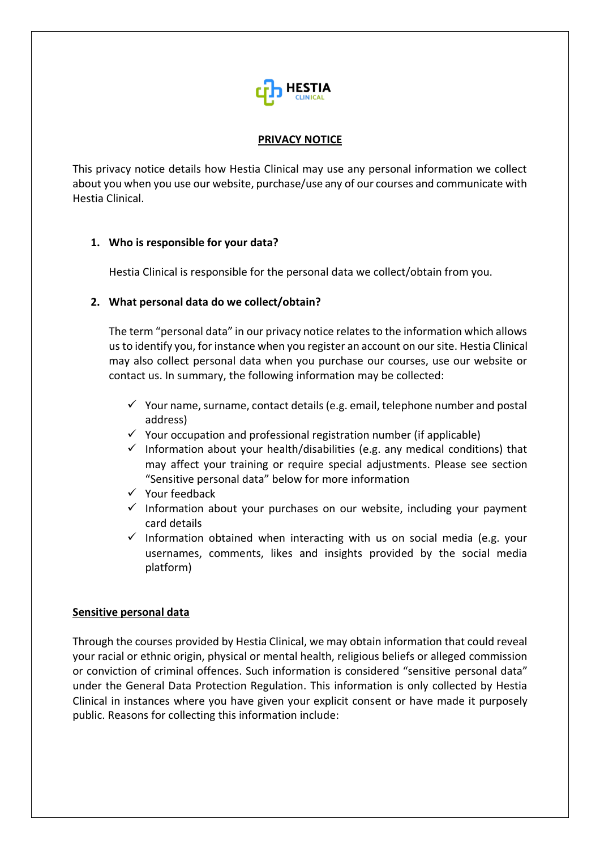

## **PRIVACY NOTICE**

This privacy notice details how Hestia Clinical may use any personal information we collect about you when you use our website, purchase/use any of our courses and communicate with Hestia Clinical.

# **1. Who is responsible for your data?**

Hestia Clinical is responsible for the personal data we collect/obtain from you.

#### **2. What personal data do we collect/obtain?**

The term "personal data" in our privacy notice relates to the information which allows us to identify you, for instance when you register an account on our site. Hestia Clinical may also collect personal data when you purchase our courses, use our website or contact us. In summary, the following information may be collected:

- $\checkmark$  Your name, surname, contact details (e.g. email, telephone number and postal address)
- $\checkmark$  Your occupation and professional registration number (if applicable)
- $\checkmark$  Information about your health/disabilities (e.g. any medical conditions) that may affect your training or require special adjustments. Please see section "Sensitive personal data" below for more information
- $\checkmark$  Your feedback
- $\checkmark$  Information about your purchases on our website, including your payment card details
- $\checkmark$  Information obtained when interacting with us on social media (e.g. your usernames, comments, likes and insights provided by the social media platform)

#### **Sensitive personal data**

Through the courses provided by Hestia Clinical, we may obtain information that could reveal your racial or ethnic origin, physical or mental health, religious beliefs or alleged commission or conviction of criminal offences. Such information is considered "sensitive personal data" under the General Data Protection Regulation. This information is only collected by Hestia Clinical in instances where you have given your explicit consent or have made it purposely public. Reasons for collecting this information include: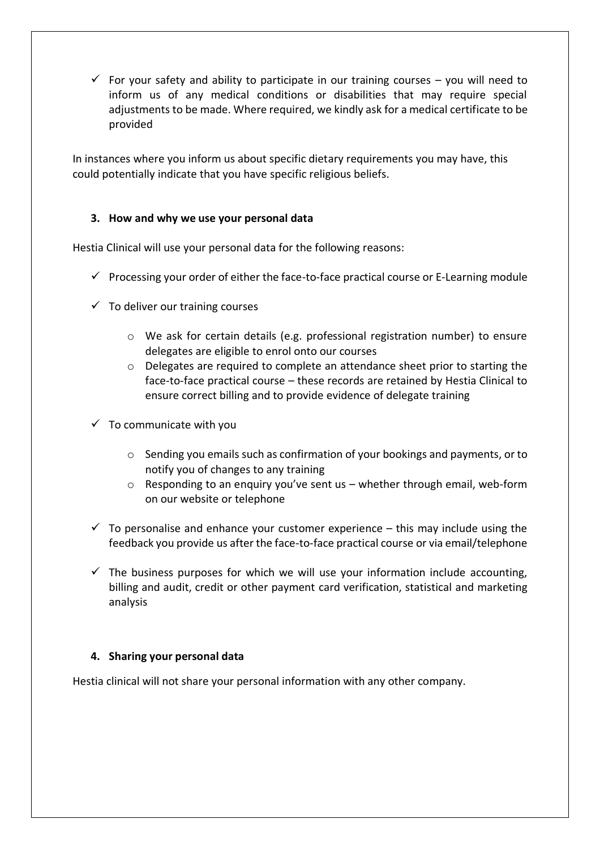$\checkmark$  For your safety and ability to participate in our training courses – you will need to inform us of any medical conditions or disabilities that may require special adjustments to be made. Where required, we kindly ask for a medical certificate to be provided

In instances where you inform us about specific dietary requirements you may have, this could potentially indicate that you have specific religious beliefs.

# **3. How and why we use your personal data**

Hestia Clinical will use your personal data for the following reasons:

- $\checkmark$  Processing your order of either the face-to-face practical course or E-Learning module
- $\checkmark$  To deliver our training courses
	- o We ask for certain details (e.g. professional registration number) to ensure delegates are eligible to enrol onto our courses
	- o Delegates are required to complete an attendance sheet prior to starting the face-to-face practical course – these records are retained by Hestia Clinical to ensure correct billing and to provide evidence of delegate training
- $\checkmark$  To communicate with you
	- $\circ$  Sending you emails such as confirmation of your bookings and payments, or to notify you of changes to any training
	- o Responding to an enquiry you've sent us whether through email, web-form on our website or telephone
- $\checkmark$  To personalise and enhance your customer experience this may include using the feedback you provide us after the face-to-face practical course or via email/telephone
- $\checkmark$  The business purposes for which we will use your information include accounting, billing and audit, credit or other payment card verification, statistical and marketing analysis

#### **4. Sharing your personal data**

Hestia clinical will not share your personal information with any other company.